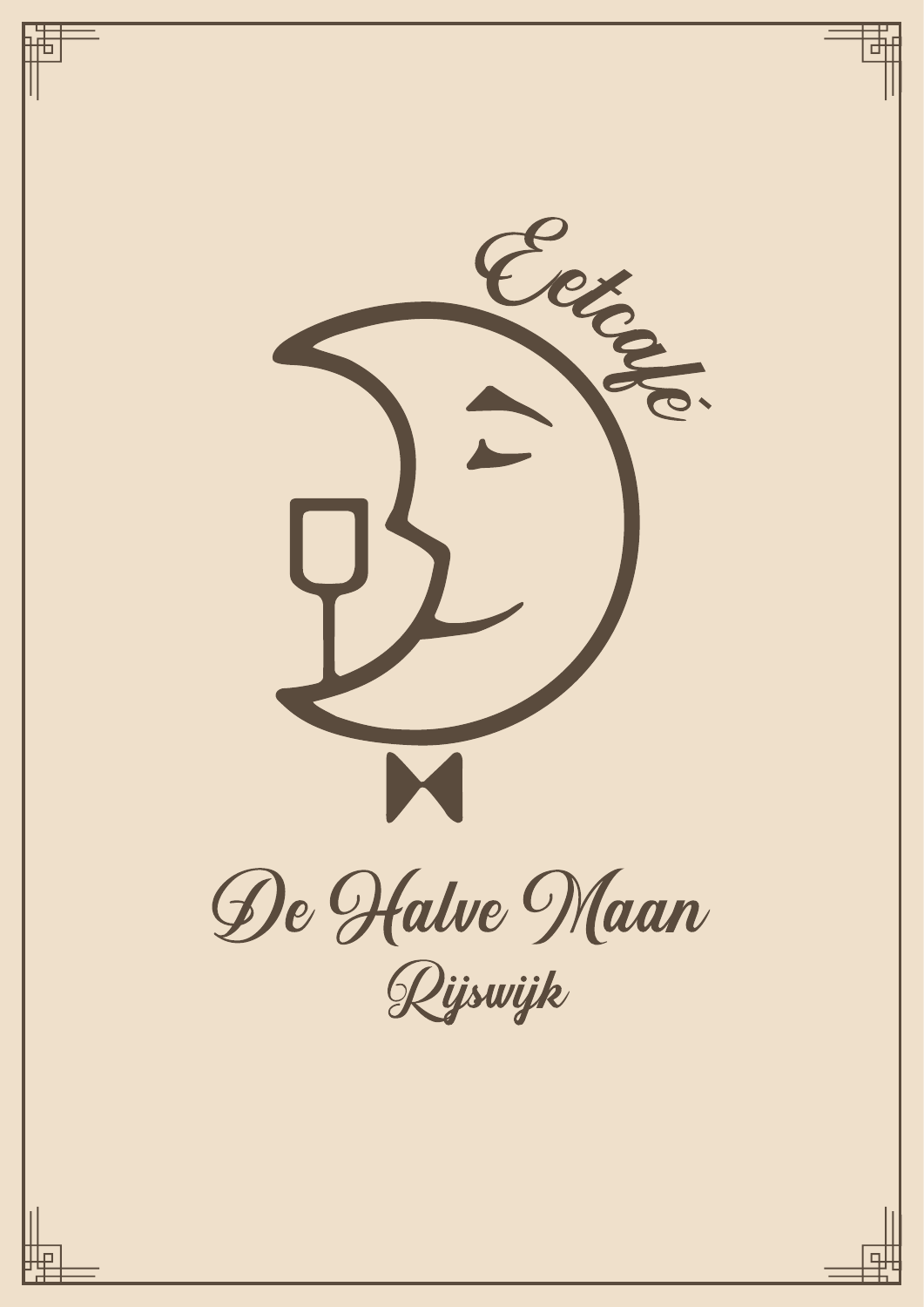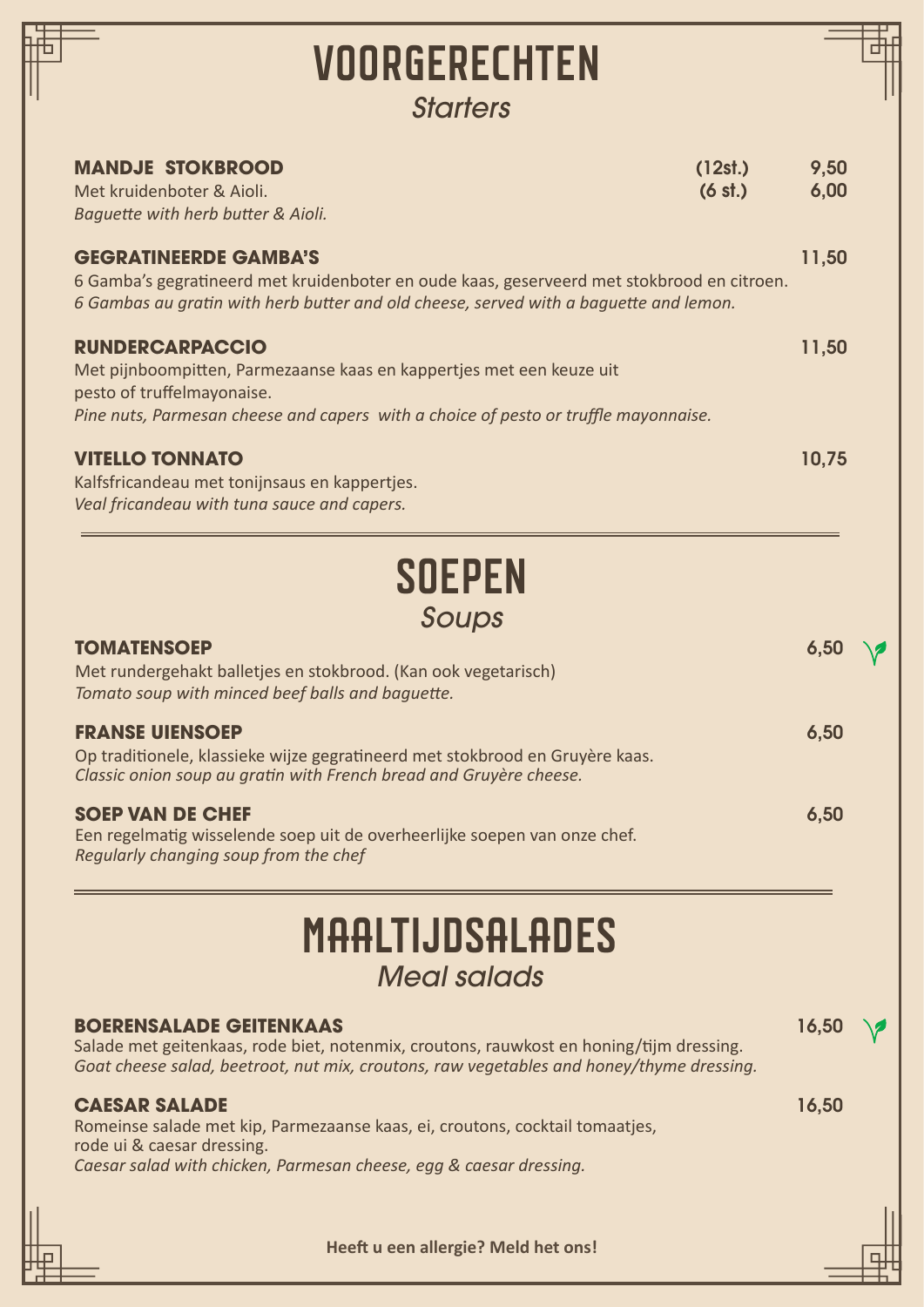| VOORGERECHTEN<br><b>Starters</b>                                                                                                                                                                                      |              |  |
|-----------------------------------------------------------------------------------------------------------------------------------------------------------------------------------------------------------------------|--------------|--|
| <b>MANDJE STOKBROOD</b><br>(12st.)<br>(6 st.)<br>Met kruidenboter & Aioli.<br>Baquette with herb butter & Aioli.                                                                                                      | 9,50<br>6,00 |  |
| <b>GEGRATINEERDE GAMBA'S</b><br>6 Gamba's gegratineerd met kruidenboter en oude kaas, geserveerd met stokbrood en citroen.<br>6 Gambas au gratin with herb butter and old cheese, served with a baguette and lemon.   | 11,50        |  |
| <b>RUNDERCARPACCIO</b><br>Met pijnboompitten, Parmezaanse kaas en kappertjes met een keuze uit<br>pesto of truffelmayonaise.                                                                                          | 11,50        |  |
| Pine nuts, Parmesan cheese and capers with a choice of pesto or truffle mayonnaise.<br><b>VITELLO TONNATO</b><br>Kalfsfricandeau met tonijnsaus en kappertjes.<br>Veal fricandeau with tuna sauce and capers.         | 10,75        |  |
| <b>SOEPEN</b><br>Soups                                                                                                                                                                                                |              |  |
| <b>TOMATENSOEP</b><br>Met rundergehakt balletjes en stokbrood. (Kan ook vegetarisch)<br>Tomato soup with minced beef balls and baquette.                                                                              |              |  |
| <b>FRANSE UIENSOEP</b><br>Op traditionele, klassieke wijze gegratineerd met stokbrood en Gruyère kaas.<br>Classic onion soup au gratin with French bread and Gruyère cheese.                                          | 6,50         |  |
| <b>SOEP VAN DE CHEF</b><br>Een regelmatig wisselende soep uit de overheerlijke soepen van onze chef.<br>Regularly changing soup from the chef                                                                         | 6,50         |  |
| MAALTIJDSALADES<br><b>Meal salads</b>                                                                                                                                                                                 |              |  |
| <b>BOERENSALADE GEITENKAAS</b><br>Salade met geitenkaas, rode biet, notenmix, croutons, rauwkost en honing/tijm dressing.<br>Goat cheese salad, beetroot, nut mix, croutons, raw vegetables and honey/thyme dressing. | 16,50        |  |
| <b>CAESAR SALADE</b><br>Romeinse salade met kip, Parmezaanse kaas, ei, croutons, cocktail tomaatjes,<br>rode ui & caesar dressing.<br>Caesar salad with chicken, Parmesan cheese, egg & caesar dressing.              | 16,50        |  |
| Heeft u een allergie? Meld het ons!                                                                                                                                                                                   |              |  |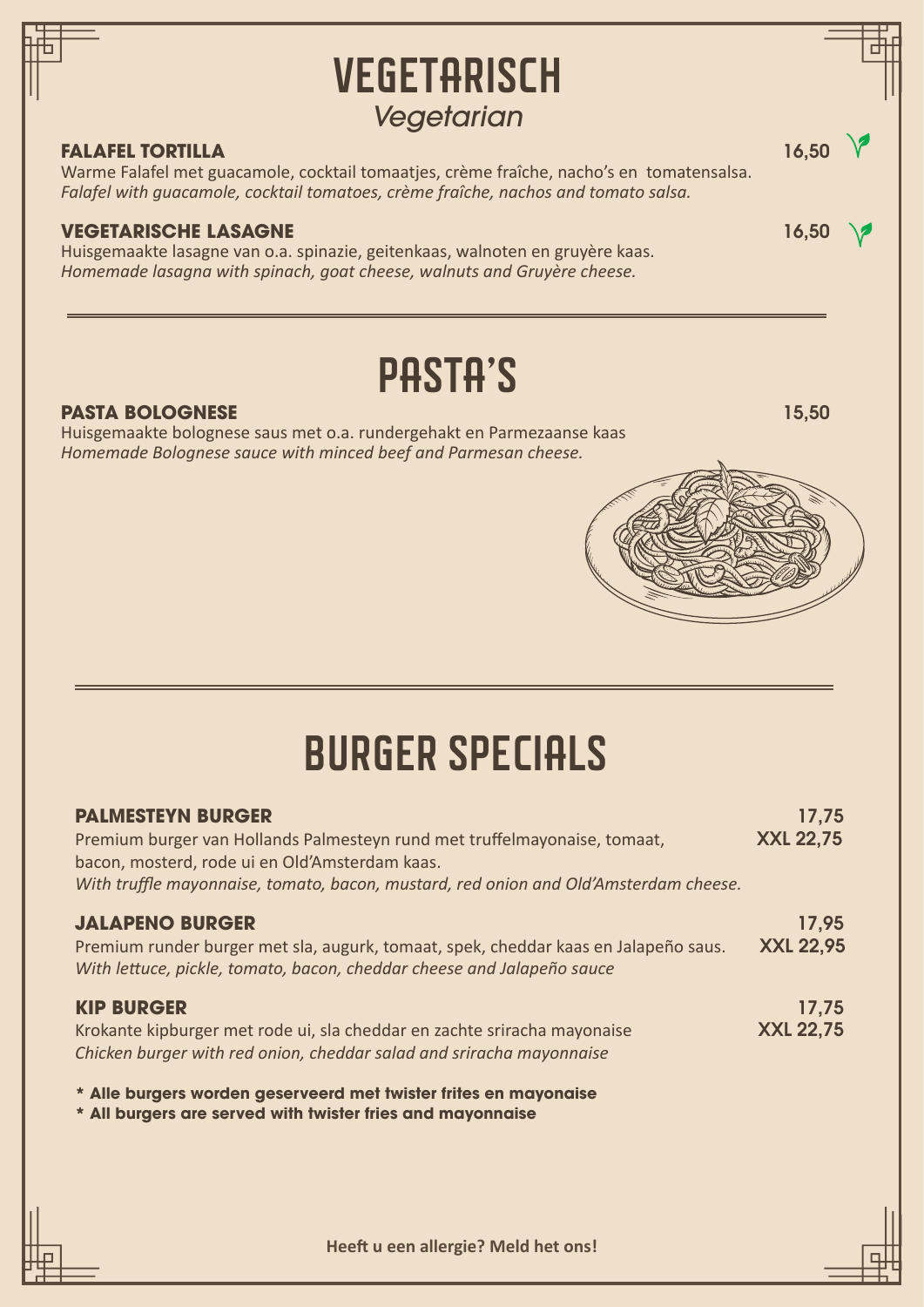## **VEGETARISCH** PASTA'S *Vegetarian* **FALAFEL TORTILLA** 16.50 Warme Falafel met guacamole, cocktail tomaatjes, crème fraîche, nacho's en tomatensalsa. *Falafel with guacamole, cocktail tomatoes, crème fraîche, nachos and tomato salsa.* **VEGETARISCHE LASAGNE** 16,50 Huisgemaakte lasagne van o.a. spinazie, geitenkaas, walnoten en gruyère kaas. *Homemade lasagna with spinach, goat cheese, walnuts and Gruyère cheese.* **PASTA BOLOGNESE** 15,50 Huisgemaakte bolognese saus met o.a. rundergehakt en Parmezaanse kaas *Homemade Bolognese sauce with minced beef and Parmesan cheese.* **PALMESTEYN BURGER** 17,75 Premium burger van Hollands Palmesteyn rund met truffelmayonaise, tomaat, **XXL 22,75** bacon, mosterd, rode ui en Old'Amsterdam kaas. *With truffle mayonnaise, tomato, bacon, mustard, red onion and Old'Amsterdam cheese.* BURGER SPECIALS

## **JALAPENO BURGER** 17,95 Premium runder burger met sla, augurk, tomaat, spek, cheddar kaas en Jalapeño saus. XXL 22,95 *With lettuce, pickle, tomato, bacon, cheddar cheese and Jalapeño sauce* **KIP BURGER** 17,75 Krokante kipburger met rode ui, sla cheddar en zachte sriracha mayonaise **XXL 22,75**

*Chicken burger with red onion, cheddar salad and sriracha mayonnaise* 

**\* Alle burgers worden geserveerd met twister frites en mayonaise** 

**\* All burgers are served with twister fries and mayonnaise**

**Heeft u een allergie? Meld het ons!**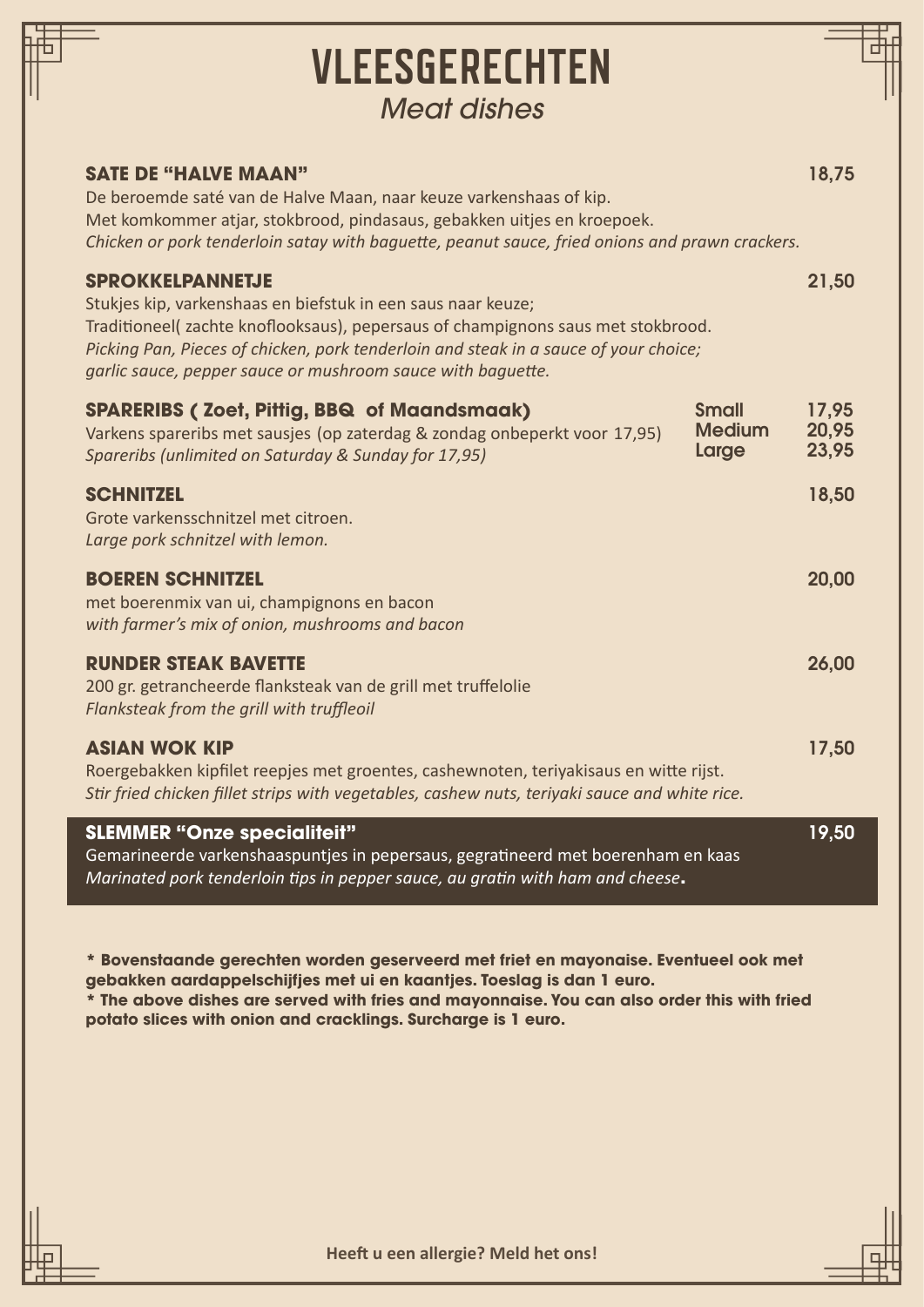| <b>VLEESGERECHTEN</b><br><b>Meat dishes</b>                                                                                                                                                                                                                                                                                       |                         |
|-----------------------------------------------------------------------------------------------------------------------------------------------------------------------------------------------------------------------------------------------------------------------------------------------------------------------------------|-------------------------|
| <b>SATE DE "HALVE MAAN"</b><br>De beroemde saté van de Halve Maan, naar keuze varkenshaas of kip.<br>Met komkommer atjar, stokbrood, pindasaus, gebakken uitjes en kroepoek.<br>Chicken or pork tenderloin satay with baguette, peanut sauce, fried onions and prawn crackers.                                                    | 18,75                   |
| <b>SPROKKELPANNETJE</b><br>Stukjes kip, varkenshaas en biefstuk in een saus naar keuze;<br>Traditioneel(zachte knoflooksaus), pepersaus of champignons saus met stokbrood.<br>Picking Pan, Pieces of chicken, pork tenderloin and steak in a sauce of your choice;<br>garlic sauce, pepper sauce or mushroom sauce with baguette. | 21,50                   |
| <b>SPARERIBS (Zoet, Pittig, BBQ of Maandsmaak)</b><br><b>Small</b><br><b>Medium</b><br>Varkens spareribs met sausjes (op zaterdag & zondag onbeperkt voor 17,95)<br>Large<br>Spareribs (unlimited on Saturday & Sunday for 17,95)                                                                                                 | 17,95<br>20,95<br>23,95 |
| <b>SCHNITZEL</b><br>Grote varkensschnitzel met citroen.<br>Large pork schnitzel with lemon.                                                                                                                                                                                                                                       | 18,50                   |
| <b>BOEREN SCHNITZEL</b><br>met boerenmix van ui, champignons en bacon<br>with farmer's mix of onion, mushrooms and bacon                                                                                                                                                                                                          | 20,00                   |
| <b>RUNDER STEAK BAVETTE</b><br>200 gr. getrancheerde flanksteak van de grill met truffelolie<br>Flanksteak from the grill with truffleoil                                                                                                                                                                                         | 26,00                   |
| <b>ASIAN WOK KIP</b><br>Roergebakken kipfilet reepjes met groentes, cashewnoten, teriyakisaus en witte rijst.<br>Stir fried chicken fillet strips with vegetables, cashew nuts, teriyaki sauce and white rice.                                                                                                                    | 17,50                   |
| <b>SLEMMER "Onze specialiteit"</b><br>Gemarineerde varkenshaaspuntjes in pepersaus, gegratineerd met boerenham en kaas<br>Marinated pork tenderloin tips in pepper sauce, au gratin with ham and cheese.                                                                                                                          | 19,50                   |

**\* Bovenstaande gerechten worden geserveerd met friet en mayonaise. Eventueel ook met gebakken aardappelschijfjes met ui en kaantjes. Toeslag is dan 1 euro.**

**\* The above dishes are served with fries and mayonnaise. You can also order this with fried potato slices with onion and cracklings. Surcharge is 1 euro.**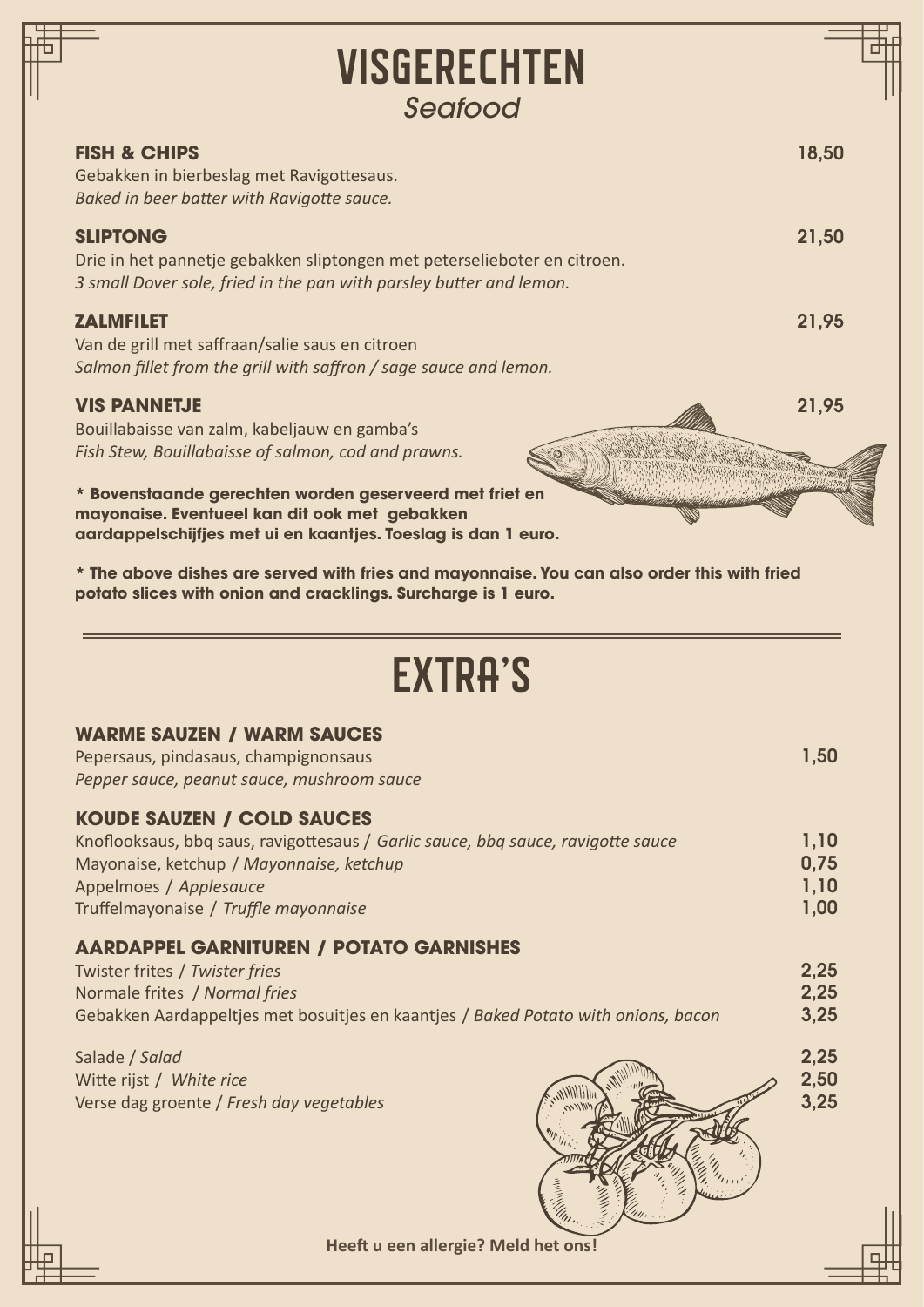| <b>VISGERECHTEN</b>                                                                                                                                                                                                                                                                                                                                                                                                                                                                                                                                                                              |                              |
|--------------------------------------------------------------------------------------------------------------------------------------------------------------------------------------------------------------------------------------------------------------------------------------------------------------------------------------------------------------------------------------------------------------------------------------------------------------------------------------------------------------------------------------------------------------------------------------------------|------------------------------|
| Seafood                                                                                                                                                                                                                                                                                                                                                                                                                                                                                                                                                                                          |                              |
| <b>FISH &amp; CHIPS</b><br>Gebakken in bierbeslag met Ravigottesaus.<br>Baked in beer batter with Ravigotte sauce.                                                                                                                                                                                                                                                                                                                                                                                                                                                                               | 18,50                        |
| <b>SLIPTONG</b><br>Drie in het pannetje gebakken sliptongen met peterselieboter en citroen.<br>3 small Dover sole, fried in the pan with parsley butter and lemon.                                                                                                                                                                                                                                                                                                                                                                                                                               | 21,50                        |
| <b>ZALMFILET</b><br>Van de grill met saffraan/salie saus en citroen<br>Salmon fillet from the grill with saffron / sage sauce and lemon.                                                                                                                                                                                                                                                                                                                                                                                                                                                         | 21,95                        |
| <b>VIS PANNETJE</b><br>Bouillabaisse van zalm, kabeljauw en gamba's                                                                                                                                                                                                                                                                                                                                                                                                                                                                                                                              | 21,95                        |
| mayonaise. Eventueel kan dit ook met gebakken                                                                                                                                                                                                                                                                                                                                                                                                                                                                                                                                                    |                              |
|                                                                                                                                                                                                                                                                                                                                                                                                                                                                                                                                                                                                  |                              |
| <b>EXTRA'S</b>                                                                                                                                                                                                                                                                                                                                                                                                                                                                                                                                                                                   | 1,50                         |
| aardappelschijfjes met ui en kaantjes. Toeslag is dan 1 euro.<br>* The above dishes are served with fries and mayonnaise. You can also order this with fried<br>potato slices with onion and cracklings. Surcharge is 1 euro.<br><b>WARME SAUZEN / WARM SAUCES</b><br>Pepersaus, pindasaus, champignonsaus<br>Pepper sauce, peanut sauce, mushroom sauce<br><b>KOUDE SAUZEN / COLD SAUCES</b><br>Knoflooksaus, bbq saus, ravigottesaus / Garlic sauce, bbq sauce, ravigotte sauce<br>Mayonaise, ketchup / Mayonnaise, ketchup<br>Appelmoes / Applesauce<br>Truffelmayonaise / Truffle mayonnaise | 1,10<br>0,75<br>1,10<br>1,00 |
| <b>AARDAPPEL GARNITUREN / POTATO GARNISHES</b><br>Twister frites / Twister fries<br>Normale frites / Normal fries<br>Gebakken Aardappeltjes met bosuitjes en kaantjes / Baked Potato with onions, bacon                                                                                                                                                                                                                                                                                                                                                                                          | 2,25<br>2,25<br>3,25         |

**Heeft u een allergie? Meld het ons!**